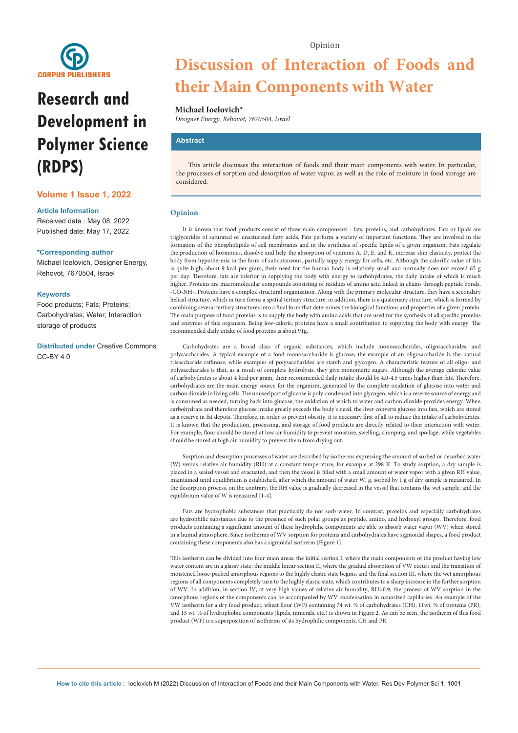

# **Research and Development in Polymer Science (RDPS)**

#### **Volume 1 Issue 1, 2022**

#### **Article Information**

Received date : May 08, 2022 Published date: May 17, 2022

#### **\*Corresponding author**

Michael Ioelovich, Designer Energy, Rehovot, 7670504, Israel

#### **Keywords**

Food products; Fats; Proteins; Carbohydrates; Water; Interaction storage of products

**Distributed under** [Creative Commons](https://creativecommons.org/licenses/by/4.0/)  [CC-BY 4.0](https://creativecommons.org/licenses/by/4.0/)

## **Discussion of Interaction of Foods and their Main Components with Water**

#### **Michael Ioelovich\***

*Designer Energy, Rehovot, 7670504, Israel*

#### **Abstract**

This article discusses the interaction of foods and their main components with water. In particular, the processes of sorption and desorption of water vapor, as well as the role of moisture in food storage are considered.

#### **Opinion**

It is known that food products consist of three main components - fats, proteins, and carbohydrates. Fats or lipids are triglycerides of saturated or unsaturated fatty acids. Fats perform a variety of important functions. They are involved in the formation of the phospholipids of cell membranes and in the synthesis of specific lipids of a given organism. Fats regulate the production of hormones, dissolve and help the absorption of vitamins A, D, E, and K, increase skin elasticity, protect the body from hypothermia in the form of subcutaneous, partially supply energy for cells, etc. Although the calorific value of fats is quite high, about 9 kcal per gram, their need for the human body is relatively small and normally does not exceed 65 g per day. Therefore, fats are inferior in supplying the body with energy to carbohydrates, the daily intake of which is much higher. Proteins are macromolecular compounds consisting of residues of amino acid linked in chains through peptide bonds, -CO-NH-. Proteins have a complex structural organization. Along with the primary molecular structure, they have a secondary helical structure, which in turn forms a spatial tertiary structure; in addition, there is a quaternary structure, which is formed by combining several tertiary structures into a final form that determines the biological functions and properties of a given protein. The main purpose of food proteins is to supply the body with amino acids that are used for the synthesis of all specific proteins and enzymes of this organism. Being low-caloric, proteins have a small contribution to supplying the body with energy. The recommended daily intake of food proteins is about 91g.

Carbohydrates are a broad class of organic substances, which include monosaccharides, oligosaccharides, and polysaccharides. A typical example of a food monosaccharide is glucose; the example of an oligosaccharide is the natural trisaccharide raffinose, while examples of polysaccharides are starch and glycogen. A characteristic feature of all oligo- and polysaccharides is that, as a result of complete hydrolysis, they give monomeric sugars. Although the average calorific value of carbohydrates is about 4 kcal per gram, their recommended daily intake should be 4.0-4.5 times higher than fats. Therefore, carbohydrates are the main energy source for the organism, generated by the complete oxidation of glucose into water and carbon dioxide in living cells. The unused part of glucose is poly-condensed into glycogen, which is a reserve source of energy and is consumed as needed, turning back into glucose, the oxidation of which to water and carbon dioxide provides energy. When carbohydrate and therefore glucose intake greatly exceeds the body's need, the liver converts glucose into fats, which are stored as a reserve in fat depots. Therefore, in order to prevent obesity, it is necessary first of all to reduce the intake of carbohydrates. It is known that the production, processing, and storage of food products are directly related to their interaction with water. For example, flour should be stored at low air humidity to prevent moisture, swelling, clumping, and spoilage, while vegetables should be stored at high air humidity to prevent them from drying out.

Sorption and desorption processes of water are described by isotherms expressing the amount of sorbed or desorbed water (W) versus relative air humidity (RH) at a constant temperature, for example at 298 K. To study sorption, a dry sample is placed in a sealed vessel and evacuated, and then the vessel is filled with a small amount of water vapor with a given RH value, maintained until equilibrium is established, after which the amount of water W, g, sorbed by 1 g of dry sample is measured. In the desorption process, on the contrary, the RH value is gradually decreased in the vessel that contains the wet sample, and the equilibrium value of W is measured [1-4].

Fats are hydrophobic substances that practically do not sorb water. In contrast, proteins and especially carbohydrates are hydrophilic substances due to the presence of such polar groups as peptide, amino, and hydroxyl groups. Therefore, food products containing a significant amount of these hydrophilic components are able to absorb water vapor (WV) when stored in a humid atmosphere. Since isotherms of WV sorption for proteins and carbohydrates have sigmoidal shapes, a food product containing these components also has a sigmoidal isotherm (Figure 1).

This isotherm can be divided into four main areas: the initial section I, where the main components of the product having low water content are in a glassy state; the middle linear section II, where the gradual absorption of VW occurs and the transition of moistened loose-packed amorphous regions to the highly elastic state begins, and the final section III, where the wet amorphous regions of all components completely turn to the highly elastic state, which contributes to a sharp increase in the further sorption of WV. In addition, in section IV, at very high values of relative air humidity, RH>0.9, the process of WV sorption in the amorphous regions of the components can be accompanied by WV condensation in nanosized capillaries. An example of the VW isotherm for a dry food product, wheat flour (WF) containing 74 wt. % of carbohydrates (CH), 11wt. % of proteins (PR), and 15 wt. % of hydrophobic components (lipids, minerals, etc.) is shown in Figure 2. As can be seen, the isotherm of this food product (WF) is a superposition of isotherms of its hydrophilic components, CH and PR.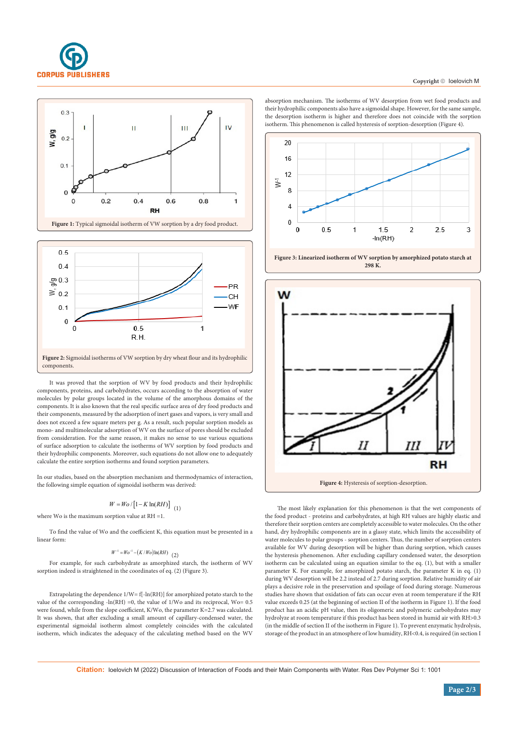

#### Copyright © loelovich M





It was proved that the sorption of WV by food products and their hydrophilic components, proteins, and carbohydrates, occurs according to the absorption of water molecules by polar groups located in the volume of the amorphous domains of the components. It is also known that the real specific surface area of dry food products and their components, measured by the adsorption of inert gases and vapors, is very small and does not exceed a few square meters per g. As a result, such popular sorption models as mono- and multimolecular adsorption of WV on the surface of pores should be excluded from consideration. For the same reason, it makes no sense to use various equations of surface adsorption to calculate the isotherms of WV sorption by food products and their hydrophilic components. Moreover, such equations do not allow one to adequately calculate the entire sorption isotherms and found sorption parameters.

In our studies, based on the absorption mechanism and thermodynamics of interaction, the following simple equation of sigmoidal isotherm was derived:

$$
W = Wo / [1 - K \ln(RH)] \quad (1)
$$

where Wo is the maximum sorption value at  $RH = 1$ .

To find the value of Wo and the coefficient K, this equation must be presented in a linear form:

### $W^{-1} = Wo^{-1} - (K/Wo)\ln(RH)$  (2)

For example, for such carbohydrate as amorphized starch, the isotherm of WV sorption indeed is straightened in the coordinates of eq. (2) (Figure 3).

Extrapolating the dependence  $1/W = f[-ln(RH)]$  for amorphized potato starch to the value of the corresponding -ln(RH) =0, the value of 1/Wo and its reciprocal, Wo= 0.5 were found, while from the slope coefficient, K/Wo, the parameter K=2.7 was calculated. It was shown, that after excluding a small amount of capillary-condensed water, the experimental sigmoidal isotherm almost completely coincides with the calculated isotherm, which indicates the adequacy of the calculating method based on the WV absorption mechanism. The isotherms of WV desorption from wet food products and their hydrophilic components also have a sigmoidal shape. However, for the same sample, the desorption isotherm is higher and therefore does not coincide with the sorption isotherm. This phenomenon is called hysteresis of sorption-desorption (Figure 4).



**Figure 3: Linearized isotherm of WV sorption by amorphized potato starch at 298 K.**



The most likely explanation for this phenomenon is that the wet components of the food product - proteins and carbohydrates, at high RH values are highly elastic and therefore their sorption centers are completely accessible to water molecules. On the other hand, dry hydrophilic components are in a glassy state, which limits the accessibility of water molecules to polar groups - sorption centers. Thus, the number of sorption centers available for WV during desorption will be higher than during sorption, which causes the hysteresis phenomenon. After excluding capillary condensed water, the desorption isotherm can be calculated using an equation similar to the eq. (1), but with a smaller parameter K. For example, for amorphized potato starch, the parameter K in eq. (1) during WV desorption will be 2.2 instead of 2.7 during sorption. Relative humidity of air plays a decisive role in the preservation and spoilage of food during storage. Numerous studies have shown that oxidation of fats can occur even at room temperature if the RH value exceeds 0.25 (at the beginning of section II of the isotherm in Figure 1). If the food product has an acidic pH value, then its oligomeric and polymeric carbohydrates may hydrolyze at room temperature if this product has been stored in humid air with RH>0.3 (in the middle of section II of the isotherm in Figure 1). To prevent enzymatic hydrolysis, storage of the product in an atmosphere of low humidity, RH<0.4, is required (in section I

**Citation:** Ioelovich M (2022) Discussion of Interaction of Foods and their Main Components with Water. Res Dev Polymer Sci 1: 1001